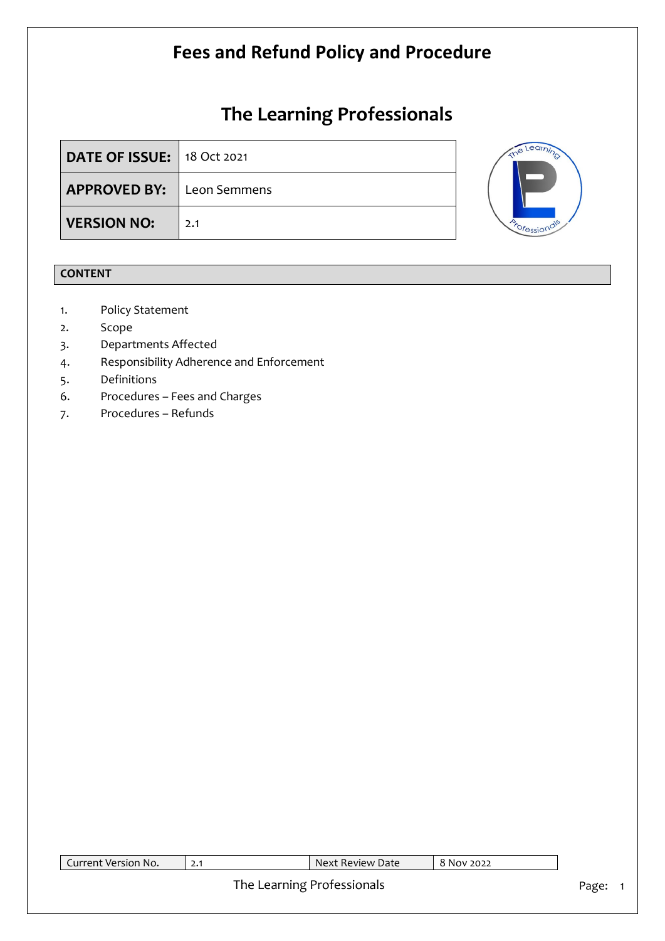# **The Learning Professionals**

| <b>DATE OF ISSUE:</b> 18 Oct 2021 |     |  |
|-----------------------------------|-----|--|
| <b>APPROVED BY:</b> Leon Semmens  |     |  |
| <b>VERSION NO:</b>                | 2.1 |  |



### **CONTENT**

- 1. Policy Statement
- 2. Scope
- 3. Departments Affected
- 4. Responsibility Adherence and Enforcement
- 5. Definitions
- 6. Procedures Fees and Charges
- 7. Procedures Refunds

| Current Version No. | Next Review Date           | 8 Nov 2022 |       |
|---------------------|----------------------------|------------|-------|
|                     | The Learning Professionals |            | Page: |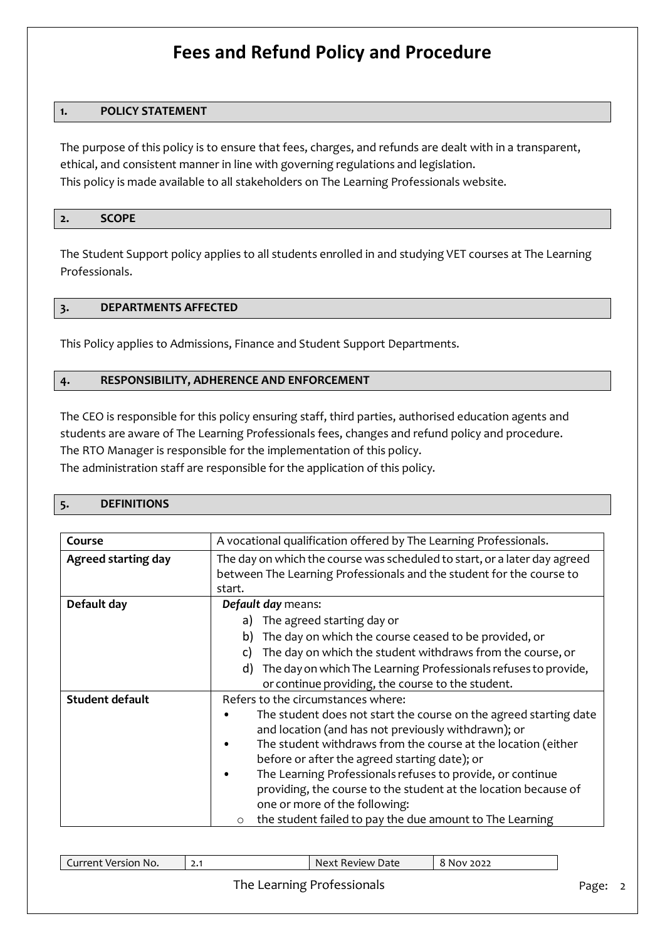#### **1. POLICY STATEMENT**

The purpose of this policy is to ensure that fees, charges, and refunds are dealt with in a transparent, ethical, and consistent manner in line with governing regulations and legislation. This policy is made available to all stakeholders on The Learning Professionals website.

#### **2. SCOPE**

The Student Support policy applies to all students enrolled in and studying VET courses at The Learning Professionals.

#### **3. DEPARTMENTS AFFECTED**

This Policy applies to Admissions, Finance and Student Support Departments.

#### **4. RESPONSIBILITY, ADHERENCE AND ENFORCEMENT**

The CEO is responsible for this policy ensuring staff, third parties, authorised education agents and students are aware of The Learning Professionals fees, changes and refund policy and procedure. The RTO Manager is responsible for the implementation of this policy. The administration staff are responsible for the application of this policy.

#### **5. DEFINITIONS**

| Course                     | A vocational qualification offered by The Learning Professionals.         |  |  |  |
|----------------------------|---------------------------------------------------------------------------|--|--|--|
|                            |                                                                           |  |  |  |
| <b>Agreed starting day</b> | The day on which the course was scheduled to start, or a later day agreed |  |  |  |
|                            | between The Learning Professionals and the student for the course to      |  |  |  |
|                            | start.                                                                    |  |  |  |
| Default day                | Default day means:                                                        |  |  |  |
|                            | a) The agreed starting day or                                             |  |  |  |
|                            | The day on which the course ceased to be provided, or<br>b)               |  |  |  |
|                            | The day on which the student withdraws from the course, or<br>C)          |  |  |  |
|                            | The day on which The Learning Professionals refuses to provide,<br>d)     |  |  |  |
|                            | or continue providing, the course to the student.                         |  |  |  |
| <b>Student default</b>     | Refers to the circumstances where:                                        |  |  |  |
|                            | The student does not start the course on the agreed starting date         |  |  |  |
|                            | and location (and has not previously withdrawn); or                       |  |  |  |
|                            | The student withdraws from the course at the location (either             |  |  |  |
|                            | before or after the agreed starting date); or                             |  |  |  |
|                            | The Learning Professionals refuses to provide, or continue                |  |  |  |
|                            | providing, the course to the student at the location because of           |  |  |  |
|                            | one or more of the following:                                             |  |  |  |
|                            | the student failed to pay the due amount to The Learning<br>$\circ$       |  |  |  |

| Current Version No. | Next Review Date           | 8 Nov 2022 |       |
|---------------------|----------------------------|------------|-------|
|                     | The Learning Professionals |            | Page: |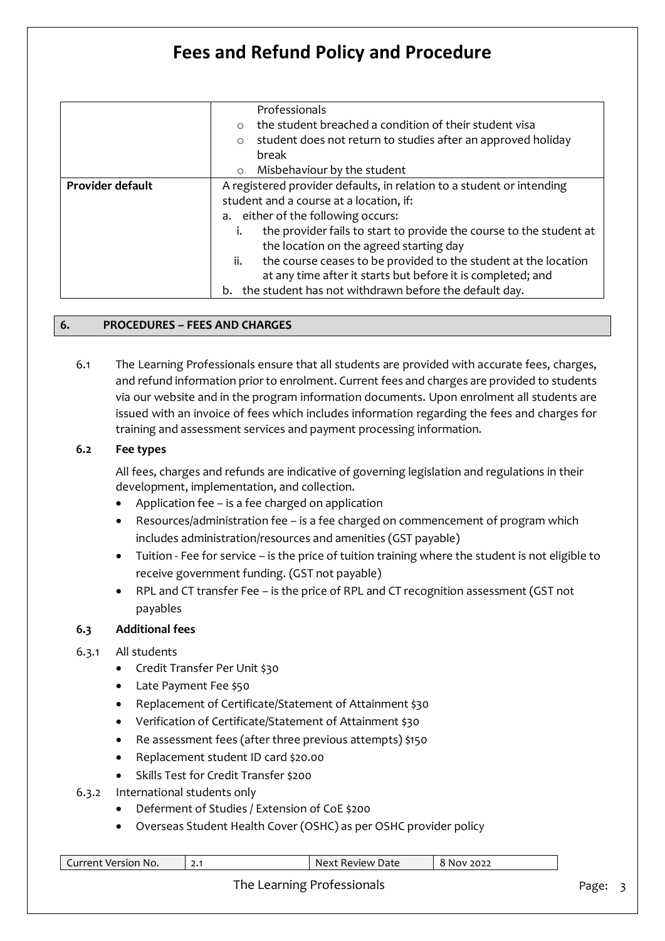|                  | Professionals<br>the student breached a condition of their student visa<br>$\circ$<br>student does not return to studies after an approved holiday<br>$\circ$ |  |  |  |
|------------------|---------------------------------------------------------------------------------------------------------------------------------------------------------------|--|--|--|
|                  | break                                                                                                                                                         |  |  |  |
|                  | Misbehaviour by the student<br>$\circ$                                                                                                                        |  |  |  |
| Provider default | A registered provider defaults, in relation to a student or intending                                                                                         |  |  |  |
|                  | student and a course at a location, if:                                                                                                                       |  |  |  |
|                  | a. either of the following occurs:                                                                                                                            |  |  |  |
|                  | the provider fails to start to provide the course to the student at<br>i.                                                                                     |  |  |  |
|                  | the location on the agreed starting day                                                                                                                       |  |  |  |
|                  | the course ceases to be provided to the student at the location<br>ii.                                                                                        |  |  |  |
|                  | at any time after it starts but before it is completed; and                                                                                                   |  |  |  |
|                  | the student has not withdrawn before the default day.<br>b.                                                                                                   |  |  |  |

#### **6. PROCEDURES – FEES AND CHARGES**

6.1 The Learning Professionals ensure that all students are provided with accurate fees, charges, and refund information prior to enrolment. Current fees and charges are provided to students via our website and in the program information documents. Upon enrolment all students are issued with an invoice of fees which includes information regarding the fees and charges for training and assessment services and payment processing information.

#### **6.2 Fee types**

All fees, charges and refunds are indicative of governing legislation and regulations in their development, implementation, and collection.

- Application fee is a fee charged on application
- Resources/administration fee is a fee charged on commencement of program which includes administration/resources and amenities (GST payable)
- Tuition Fee for service is the price of tuition training where the student is not eligible to receive government funding. (GST not payable)
- RPL and CT transfer Fee is the price of RPL and CT recognition assessment (GST not payables

#### **6.3 Additional fees**

- 6.3.1 All students
	- Credit Transfer Per Unit \$30
	- Late Payment Fee \$50
	- Replacement of Certificate/Statement of Attainment \$30
	- Verification of Certificate/Statement of Attainment \$30
	- Re assessment fees (after three previous attempts) \$150
	- Replacement student ID card \$20.00
	- Skills Test for Credit Transfer \$200
- 6.3.2 International students only
	- Deferment of Studies / Extension of CoE \$200
	- Overseas Student Health Cover (OSHC) as per OSHC provider policy

| Current Version No. | Next Review Date           | 8 Nov 2022 |       |  |
|---------------------|----------------------------|------------|-------|--|
|                     | The Learning Professionals |            | Page: |  |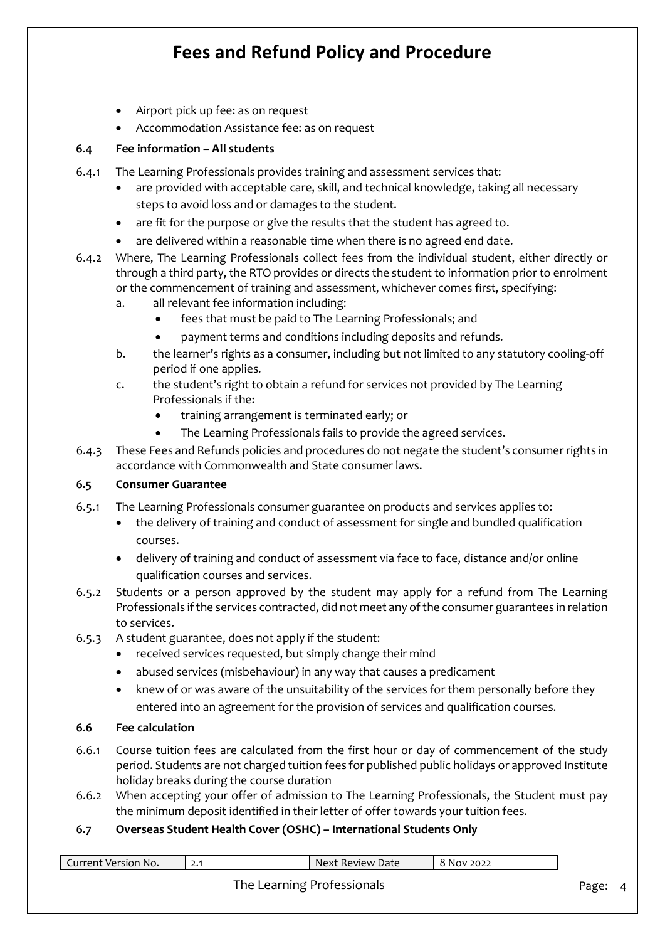- Airport pick up fee: as on request
- Accommodation Assistance fee: as on request

#### **6.4 Fee information – All students**

- 6.4.1 The Learning Professionals provides training and assessment services that:
	- are provided with acceptable care, skill, and technical knowledge, taking all necessary steps to avoid loss and or damages to the student.
	- are fit for the purpose or give the results that the student has agreed to.
	- are delivered within a reasonable time when there is no agreed end date.
- 6.4.2 Where, The Learning Professionals collect fees from the individual student, either directly or through a third party, the RTO provides or directs the student to information prior to enrolment or the commencement of training and assessment, whichever comes first, specifying:
	- a. all relevant fee information including:
		- fees that must be paid to The Learning Professionals; and
		- payment terms and conditions including deposits and refunds.
	- b. the learner's rights as a consumer, including but not limited to any statutory cooling-off period if one applies.
	- c. the student's right to obtain a refund for services not provided by The Learning Professionals if the:
		- training arrangement is terminated early; or
		- The Learning Professionals fails to provide the agreed services.
- 6.4.3 These Fees and Refunds policies and procedures do not negate the student's consumer rights in accordance with Commonwealth and State consumer laws.

#### **6.5 Consumer Guarantee**

- 6.5.1 The Learning Professionals consumer guarantee on products and services applies to:
	- the delivery of training and conduct of assessment for single and bundled qualification courses.
	- delivery of training and conduct of assessment via face to face, distance and/or online qualification courses and services.
- 6.5.2 Students or a person approved by the student may apply for a refund from The Learning Professionals if the services contracted, did not meet any of the consumer guarantees in relation to services.
- 6.5.3 A student guarantee, does not apply if the student:
	- received services requested, but simply change their mind
	- abused services (misbehaviour) in any way that causes a predicament
	- knew of or was aware of the unsuitability of the services for them personally before they entered into an agreement for the provision of services and qualification courses.

### **6.6 Fee calculation**

- 6.6.1 Course tuition fees are calculated from the first hour or day of commencement of the study period. Students are not charged tuition fees for published public holidays or approved Institute holiday breaks during the course duration
- 6.6.2 When accepting your offer of admission to The Learning Professionals, the Student must pay the minimum deposit identified in their letter of offer towards your tuition fees.

### **6.7 Overseas Student Health Cover (OSHC) – International Students Only**

| Current Version No. | Next Review Date           | 8 Nov 2022 |       |
|---------------------|----------------------------|------------|-------|
|                     | The Learning Professionals |            | Page: |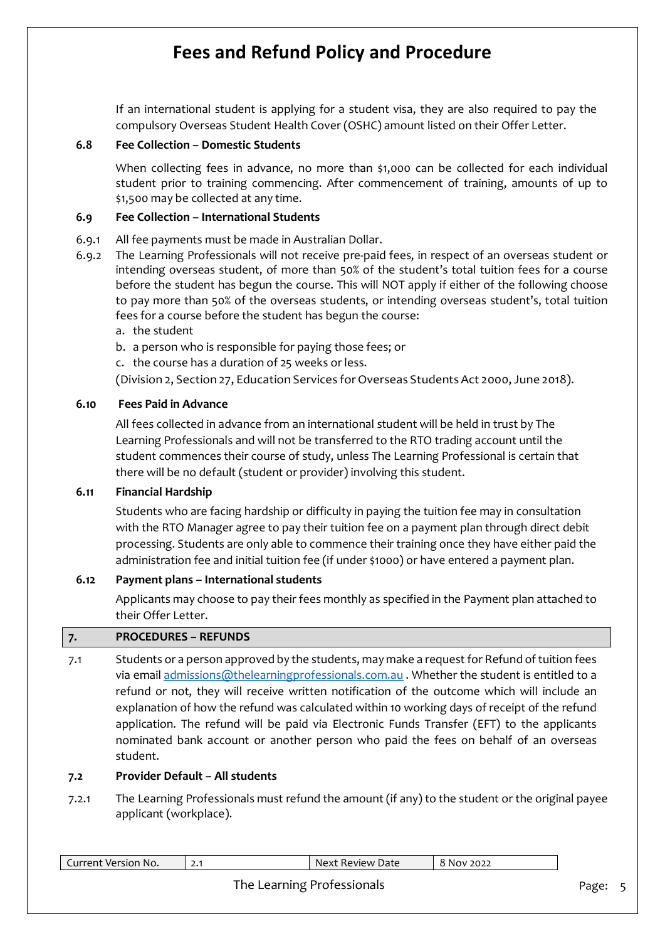If an international student is applying for a student visa, they are also required to pay the compulsory Overseas Student Health Cover (OSHC) amount listed on their Offer Letter.

#### **6.8 Fee Collection – Domestic Students**

When collecting fees in advance, no more than \$1,000 can be collected for each individual student prior to training commencing. After commencement of training, amounts of up to \$1,500 may be collected at any time.

#### **6.9 Fee Collection – International Students**

- 6.9.1 All fee payments must be made in Australian Dollar.
- 6.9.2 The Learning Professionals will not receive pre-paid fees, in respect of an overseas student or intending overseas student, of more than 50% of the student's total tuition fees for a course before the student has begun the course. This will NOT apply if either of the following choose to pay more than 50% of the overseas students, or intending overseas student's, total tuition fees for a course before the student has begun the course:
	- a. the student
	- b. a person who is responsible for paying those fees; or
	- c. the course has a duration of 25 weeks or less.

(Division 2, Section 27, Education Services forOverseas StudentsAct 2000, June 2018).

#### **6.10 Fees Paid in Advance**

All fees collected in advance from an international student will be held in trust by The Learning Professionals and will not be transferred to the RTO trading account until the student commences their course of study, unless The Learning Professional is certain that there will be no default (student or provider) involving this student.

#### **6.11 Financial Hardship**

Students who are facing hardship or difficulty in paying the tuition fee may in consultation with the RTO Manager agree to pay their tuition fee on a payment plan through direct debit processing. Students are only able to commence their training once they have either paid the administration fee and initial tuition fee (if under \$1000) or have entered a payment plan.

### **6.12 Payment plans – International students**

Applicants may choose to pay their fees monthly as specified in the Payment plan attached to their Offer Letter.

#### **7. PROCEDURES – REFUNDS**

7.1 Students or a person approved by the students, may make a request for Refund of tuition fees via emai[l admissions@thelearningprofessionals.com.au](mailto:admissions@thelearningprofessionals.com.au) . Whether the student is entitled to a refund or not, they will receive written notification of the outcome which will include an explanation of how the refund was calculated within 10 working days of receipt of the refund application. The refund will be paid via Electronic Funds Transfer (EFT) to the applicants nominated bank account or another person who paid the fees on behalf of an overseas student.

#### **7.2 Provider Default – All students**

7.2.1 The Learning Professionals must refund the amount (if any) to the student or the original payee applicant (workplace).

| Current Version No. | Next Review Date           | 8 Nov 2022 |       |
|---------------------|----------------------------|------------|-------|
|                     | The Learning Professionals |            | Page: |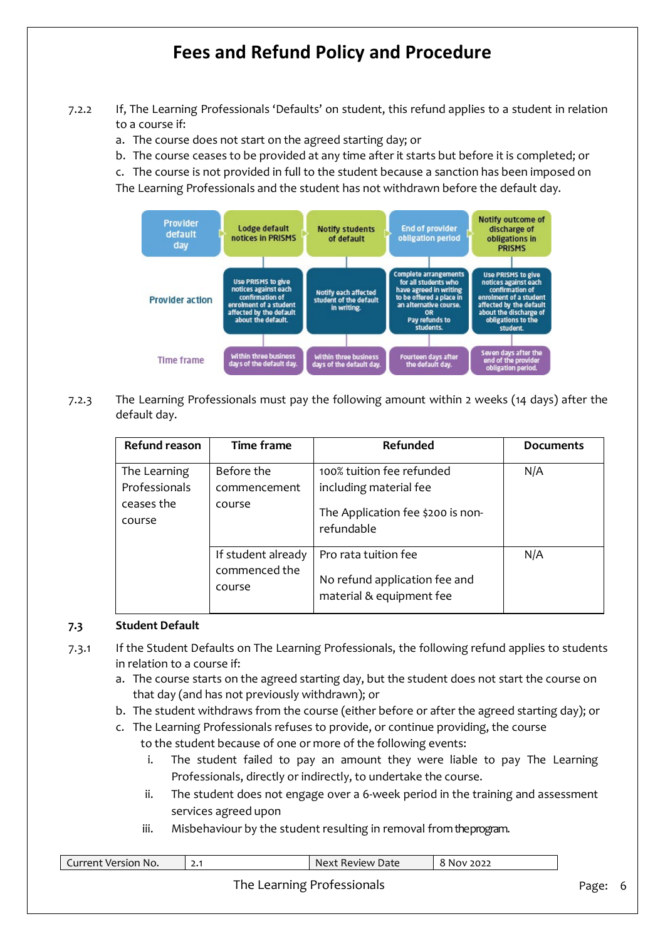- 7.2.2 If, The Learning Professionals 'Defaults' on student, this refund applies to a student in relation to a course if:
	- a. The course does not start on the agreed starting day; or
	- b. The course ceases to be provided at any time after it starts but before it is completed; or

c. The course is not provided in full to the student because a sanction has been imposed on The Learning Professionals and the student has not withdrawn before the default day.



7.2.3 The Learning Professionals must pay the following amount within 2 weeks (14 days) after the default day.

| <b>Refund reason</b>                                  | <b>Time frame</b>                             | Refunded                                                                                               | <b>Documents</b> |
|-------------------------------------------------------|-----------------------------------------------|--------------------------------------------------------------------------------------------------------|------------------|
| The Learning<br>Professionals<br>ceases the<br>course | Before the<br>commencement<br>course          | 100% tuition fee refunded<br>including material fee<br>The Application fee \$200 is non-<br>refundable | N/A              |
|                                                       | If student already<br>commenced the<br>course | Pro rata tuition fee<br>No refund application fee and<br>material & equipment fee                      | N/A              |

#### **7.3 Student Default**

- 7.3.1 If the Student Defaults on The Learning Professionals, the following refund applies to students in relation to a course if:
	- a. The course starts on the agreed starting day, but the student does not start the course on that day (and has not previously withdrawn); or
	- b. The student withdraws from the course (either before or after the agreed starting day); or
	- c. The Learning Professionals refuses to provide, or continue providing, the course to the student because of one or more of the following events:
		- i. The student failed to pay an amount they were liable to pay The Learning Professionals, directly or indirectly, to undertake the course.
		- ii. The student does not engage over a 6-week period in the training and assessment services agreed upon
		- iii. Misbehaviour by the student resulting in removal from the program.

| Current Version No. | Next Review Date           | 8 Nov 2022 |       |    |
|---------------------|----------------------------|------------|-------|----|
|                     | The Learning Professionals |            | Page: | -6 |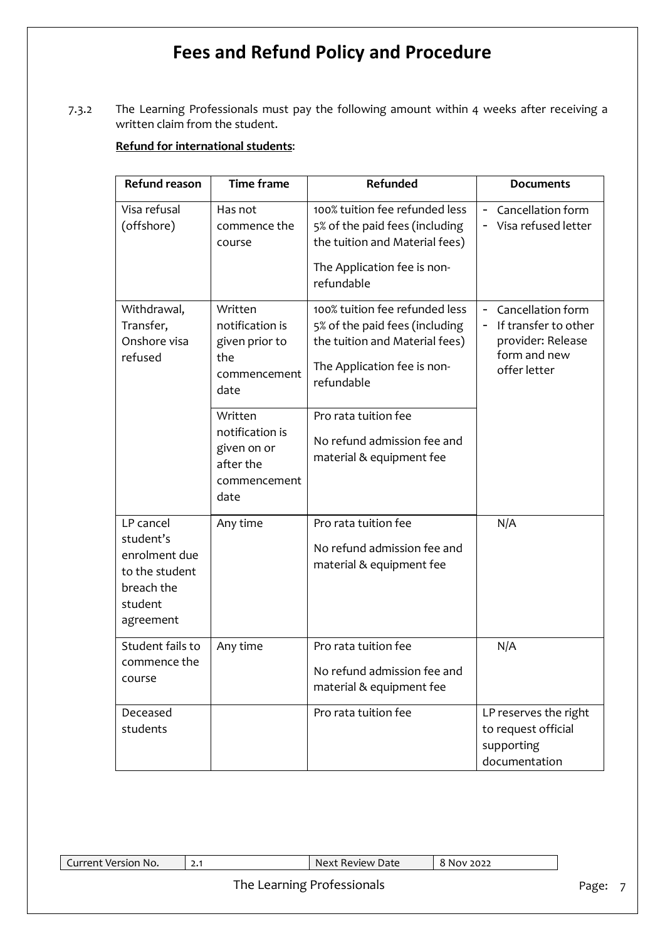7.3.2 The Learning Professionals must pay the following amount within 4 weeks after receiving a written claim from the student.

### **Refund for international students**:

| <b>Refund reason</b>                                                                            | <b>Time frame</b>                                                                      | Refunded                                                                                                                                                                | <b>Documents</b>                                                                                    |
|-------------------------------------------------------------------------------------------------|----------------------------------------------------------------------------------------|-------------------------------------------------------------------------------------------------------------------------------------------------------------------------|-----------------------------------------------------------------------------------------------------|
| Visa refusal<br>(offshore)                                                                      | Has not<br>commence the<br>course                                                      | 100% tuition fee refunded less<br>5% of the paid fees (including<br>the tuition and Material fees)<br>The Application fee is non-<br>refundable                         | Cancellation form<br>Ξ.<br>- Visa refused letter                                                    |
| Withdrawal,<br>Transfer,<br>Onshore visa<br>refused                                             | Written<br>notification is<br>given prior to<br>the<br>commencement<br>date<br>Written | 100% tuition fee refunded less<br>5% of the paid fees (including<br>the tuition and Material fees)<br>The Application fee is non-<br>refundable<br>Pro rata tuition fee | Cancellation form<br>-<br>If transfer to other<br>provider: Release<br>form and new<br>offer letter |
|                                                                                                 | notification is<br>given on or<br>after the<br>commencement<br>date                    | No refund admission fee and<br>material & equipment fee                                                                                                                 |                                                                                                     |
| LP cancel<br>student's<br>enrolment due<br>to the student<br>breach the<br>student<br>agreement | Any time                                                                               | Pro rata tuition fee<br>No refund admission fee and<br>material & equipment fee                                                                                         | N/A                                                                                                 |
| Student fails to<br>commence the<br>course                                                      | Any time                                                                               | Pro rata tuition fee<br>No refund admission fee and<br>material & equipment fee                                                                                         | N/A                                                                                                 |
| Deceased<br>students                                                                            |                                                                                        | Pro rata tuition fee                                                                                                                                                    | LP reserves the right<br>to request official<br>supporting<br>documentation                         |

2.1 Next Review Date 8 Nov 2022

### The Learning Professionals **Page: 7** Page: 7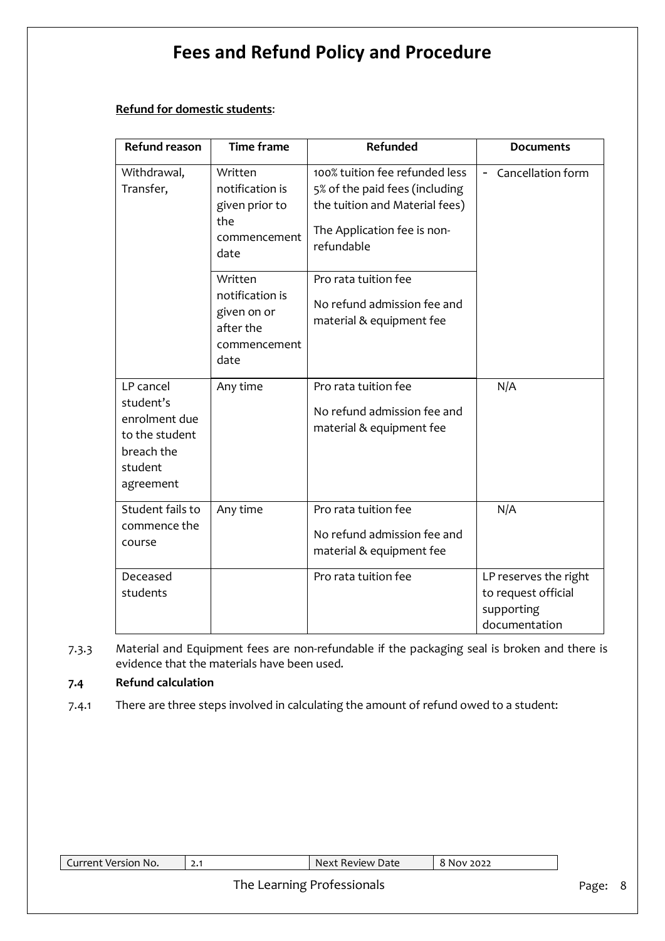#### **Refund for domestic students**:

| <b>Refund reason</b>                                                                            | <b>Time frame</b>                                                              | Refunded                                                                                                                                        | <b>Documents</b>                                                            |
|-------------------------------------------------------------------------------------------------|--------------------------------------------------------------------------------|-------------------------------------------------------------------------------------------------------------------------------------------------|-----------------------------------------------------------------------------|
| Withdrawal,<br>Transfer,                                                                        | Written<br>notification is<br>given prior to<br>the<br>commencement<br>date    | 100% tuition fee refunded less<br>5% of the paid fees (including<br>the tuition and Material fees)<br>The Application fee is non-<br>refundable | - Cancellation form                                                         |
|                                                                                                 | Written<br>notification is<br>given on or<br>after the<br>commencement<br>date | Pro rata tuition fee<br>No refund admission fee and<br>material & equipment fee                                                                 |                                                                             |
| LP cancel<br>student's<br>enrolment due<br>to the student<br>breach the<br>student<br>agreement | Any time                                                                       | Pro rata tuition fee<br>No refund admission fee and<br>material & equipment fee                                                                 | N/A                                                                         |
| Student fails to<br>commence the<br>course                                                      | Any time                                                                       | Pro rata tuition fee<br>No refund admission fee and<br>material & equipment fee                                                                 | N/A                                                                         |
| Deceased<br>students                                                                            |                                                                                | Pro rata tuition fee                                                                                                                            | LP reserves the right<br>to request official<br>supporting<br>documentation |

7.3.3 Material and Equipment fees are non-refundable if the packaging seal is broken and there is evidence that the materials have been used.

### **7.4 Refund calculation**

7.4.1 There are three steps involved in calculating the amount of refund owed to a student:

| <b>Lurrer</b><br>$^{\circ}$ Version No. $^{\circ}$<br>rent | <u>.</u> | Review Date<br>Next | 2022<br>NOV. |
|------------------------------------------------------------|----------|---------------------|--------------|
|                                                            | --       | $\sim$              |              |

### The Learning Professionals **Page: 8** Page: 8